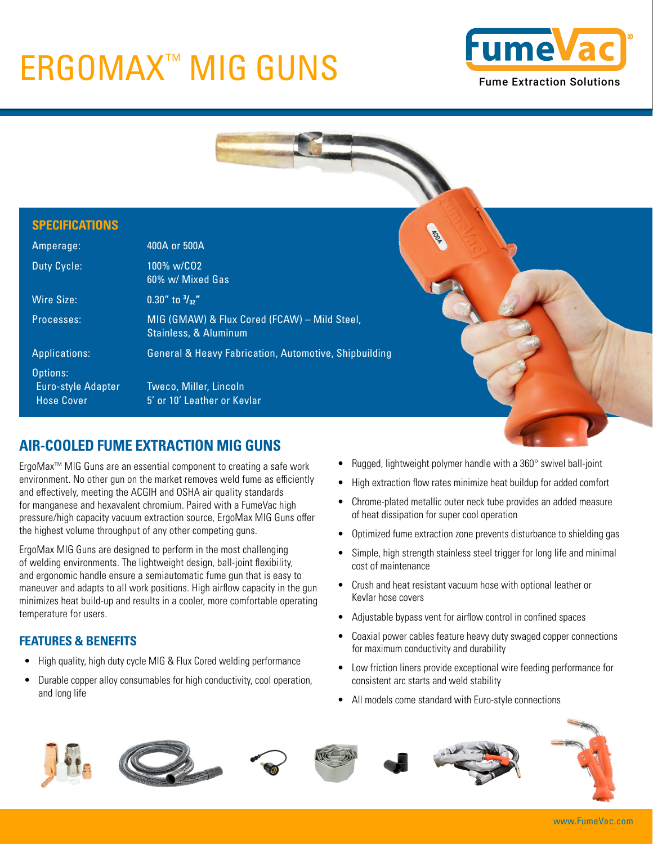# ERGOMAX<sup>™</sup> MIG GUNS Fume Extraction Solutions





## **AIR-COOLED FUME EXTRACTION MIG GUNS**

ErgoMax™ MIG Guns are an essential component to creating a safe work environment. No other gun on the market removes weld fume as efficiently and effectively, meeting the ACGIH and OSHA air quality standards for manganese and hexavalent chromium. Paired with a FumeVac high pressure/high capacity vacuum extraction source, ErgoMax MIG Guns offer the highest volume throughput of any other competing guns.

ErgoMax MIG Guns are designed to perform in the most challenging of welding environments. The lightweight design, ball-joint flexibility, and ergonomic handle ensure a semiautomatic fume gun that is easy to maneuver and adapts to all work positions. High airflow capacity in the gun minimizes heat build-up and results in a cooler, more comfortable operating temperature for users.

### **FEATURES & BENEFITS**

- High quality, high duty cycle MIG & Flux Cored welding performance
- Durable copper alloy consumables for high conductivity, cool operation, and long life
- Rugged, lightweight polymer handle with a 360° swivel ball-joint
- High extraction flow rates minimize heat buildup for added comfort
- Chrome-plated metallic outer neck tube provides an added measure of heat dissipation for super cool operation
- Optimized fume extraction zone prevents disturbance to shielding gas
- Simple, high strength stainless steel trigger for long life and minimal cost of maintenance
- Crush and heat resistant vacuum hose with optional leather or Kevlar hose covers
- Adjustable bypass vent for airflow control in confined spaces
- Coaxial power cables feature heavy duty swaged copper connections for maximum conductivity and durability
- Low friction liners provide exceptional wire feeding performance for consistent arc starts and weld stability
- All models come standard with Euro-style connections